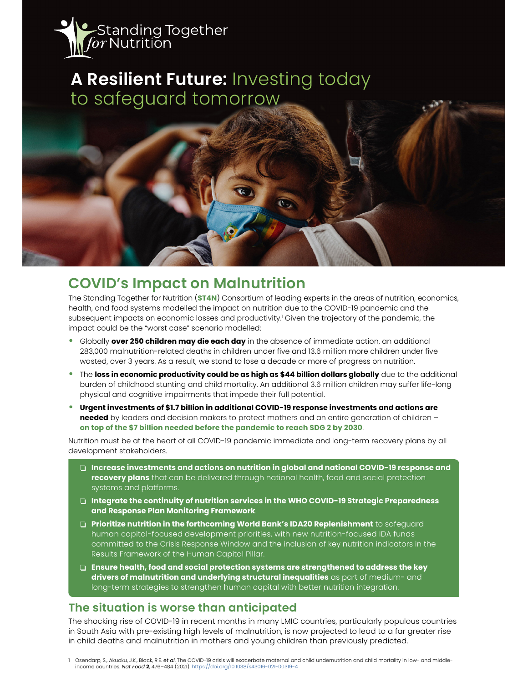

# **A Resilient Future:** Investing today to safeguard tomorrow

## **COVID's Impact on Malnutrition**

The Standing Together for Nutrition (**ST4N**) Consortium of leading experts in the areas of nutrition, economics, health, and food systems modelled the impact on nutrition due to the COVID-19 pandemic and the subsequent impacts on economic losses and productivity.<sup>1</sup> Given the trajectory of the pandemic, the impact could be the "worst case" scenario modelled:

- **•** Globally **over 250 children may die each day** in the absence of immediate action, an additional 283,000 malnutrition-related deaths in children under fve and 13.6 million more children under fve wasted, over 3 years. As a result, we stand to lose a decade or more of progress on nutrition.
- **•** The **loss in economic productivity could be as high as \$44 billion dollars globally** due to the additional burden of childhood stunting and child mortality. An additional 3.6 million children may suffer life-long physical and cognitive impairments that impede their full potential.
- **• Urgent investments of \$1.7 billion in additional COVID-19 response investments and actions are needed** by leaders and decision makers to protect mothers and an entire generation of children **on top of the \$7 billion needed before the pandemic to reach SDG 2 by 2030**.

Nutrition must be at the heart of all COVID-19 pandemic immediate and long-term recovery plans by all development stakeholders.

- $\Box$  Increase investments and actions on nutrition in global and national COVID-19 response and **recovery plans** that can be delivered through national health, food and social protection systems and platforms.
- $\Box$  Integrate the continuity of nutrition services in the WHO COVID-19 Strategic Preparedness **and Response Plan Monitoring Framework**.
- **D** Prioritize nutrition in the forthcoming World Bank's IDA20 Replenishment to safeguard human capital-focused development priorities, with new nutrition-focused IDA funds committed to the Crisis Response Window and the inclusion of key nutrition indicators in the Results Framework of the Human Capital Pillar.
- $\square$  Ensure health, food and social protection systems are strengthened to address the key **drivers of malnutrition and underlying structural inequalities** as part of medium- and long-term strategies to strengthen human capital with better nutrition integration.

### **The situation is worse than anticipated**

The shocking rise of COVID-19 in recent months in many LMIC countries, particularly populous countries in South Asia with pre-existing high levels of malnutrition, is now projected to lead to a far greater rise in child deaths and malnutrition in mothers and young children than previously predicted.

1 Osendarp, S., Akuoku, J.K., Black, R.E. *et al*. The COVID-19 crisis will exacerbate maternal and child undernutrition and child mortality in low- and middleincome countries. *Nat Food* **2**, 476–484 (2021). https://doi.org/10.1038/s43016-021-00319-4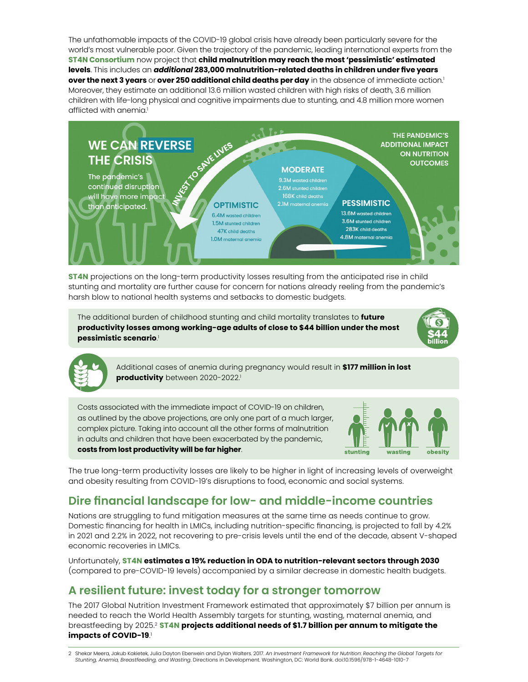The unfathomable impacts of the COVID-19 global crisis have already been particularly severe for the world's most vulnerable poor. Given the trajectory of the pandemic, leading international experts from the **ST4N Consortium** now project that **child malnutrition may reach the most 'pessimistic' estimated levels**. This includes an *additional* **283,000 malnutrition-related deaths in children under fve years over the next 3 years** or **over 250 additional child deaths per day** in the absence of immediate action.1 Moreover, they estimate an additional 13.6 million wasted children with high risks of death, 3.6 million children with life-long physical and cognitive impairments due to stunting, and 4.8 million more women afflicted with anemia.<sup>1</sup>



**ST4N** projections on the long-term productivity losses resulting from the anticipated rise in child **\$\$\$** stunting and mortality are further cause for concern for nations already reeling from the pandemic's **\$\$\$** harsh blow to national health systems and setbacks to domestic budgets.

The additional burden of childhood stunting and child mortality translates to **future productivity losses among working-age adults of close to \$44 billion under the most pessimistic scenario**. 1





Additional cases of anemia during pregnancy would result in **\$177 million in lost productivity** between 2020-2022.<sup>1</sup>

Costs associated with the immediate impact of COVID-19 on children, as outlined by the above projections, are only one part of a much larger, complex picture. Taking into account all the other forms of malnutrition in adults and children that have been exacerbated by the pandemic, **costs from lost productivity will be far higher**.



The true long-term productivity losses are likely to be higher in light of increasing levels of overweight and obesity resulting from COVID-19's disruptions to food, economic and social systems.

### **Dire fnancial landscape for low- and middle-income countries**

Nations are struggling to fund mitigation measures at the same time as needs continue to grow. Domestic fnancing for health in LMICs, including nutrition-specifc fnancing, is projected to fall by 4.2% in 2021 and 2.2% in 2022, not recovering to pre-crisis levels until the end of the decade, absent V-shaped economic recoveries in LMICs.

Unfortunately, **ST4N estimates a 19% reduction in ODA to nutrition-relevant sectors through 2030**  (compared to pre-COVID-19 levels) accompanied by a similar decrease in domestic health budgets.

### **A resilient future: invest today for a stronger tomorrow**

The 2017 Global Nutrition Investment Framework estimated that approximately \$7 billion per annum is needed to reach the World Health Assembly targets for stunting, wasting, maternal anemia, and breastfeeding by 2025.2 **ST4N projects additional needs of \$1.7 billion per annum to mitigate the impacts of COVID-19**. 1

<sup>2</sup> Shekar Meera, Jakub Kakietek, Julia Dayton Eberwein and Dylan Walters. 2017. *An Investment Framework for Nutrition: Reaching the Global Targets for Stunting, Anemia, Breastfeeding, and Wasting*. Directions in Development. Washington, DC: World Bank. doi:10.1596/978-1-4648-1010-7